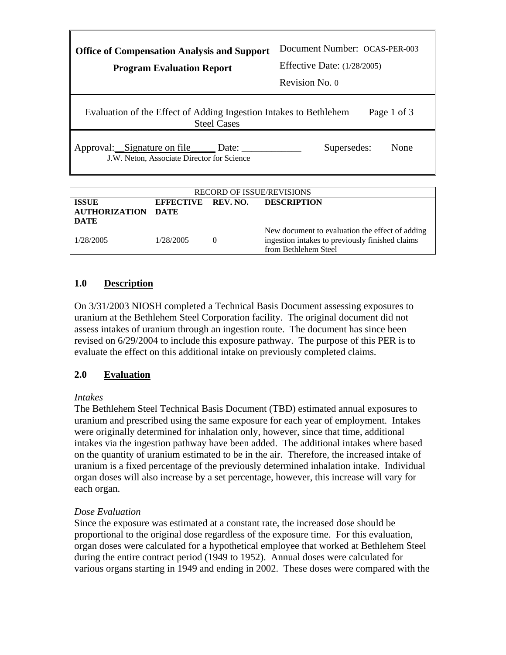| <b>Office of Compensation Analysis and Support</b><br><b>Program Evaluation Report</b>                 | Document Number: OCAS-PER-003<br><b>Effective Date:</b> (1/28/2005)<br>Revision No. 0 |  |  |  |
|--------------------------------------------------------------------------------------------------------|---------------------------------------------------------------------------------------|--|--|--|
| Evaluation of the Effect of Adding Ingestion Intakes to Bethlehem<br>Page 1 of 3<br><b>Steel Cases</b> |                                                                                       |  |  |  |
| Approval: Signature on file Date:<br>J.W. Neton, Associate Director for Science                        | Supersedes:<br>None                                                                   |  |  |  |
| BEGOBB OF IGGUE BEUIGIONG                                                                              |                                                                                       |  |  |  |

| <b>RECORD OF ISSUE/REVISIONS</b>                  |                    |  |                                                                                                                            |
|---------------------------------------------------|--------------------|--|----------------------------------------------------------------------------------------------------------------------------|
| <b>ISSUE</b><br><b>AUTHORIZATION DATE</b><br>DATE | EFFECTIVE REV. NO. |  | <b>DESCRIPTION</b>                                                                                                         |
| 1/28/2005                                         | 1/28/2005          |  | New document to evaluation the effect of adding<br>ingestion intakes to previously finished claims<br>from Bethlehem Steel |

# **1.0 Description**

On 3/31/2003 NIOSH completed a Technical Basis Document assessing exposures to uranium at the Bethlehem Steel Corporation facility. The original document did not assess intakes of uranium through an ingestion route. The document has since been revised on 6/29/2004 to include this exposure pathway. The purpose of this PER is to evaluate the effect on this additional intake on previously completed claims.

# **2.0 Evaluation**

## *Intakes*

The Bethlehem Steel Technical Basis Document (TBD) estimated annual exposures to uranium and prescribed using the same exposure for each year of employment. Intakes were originally determined for inhalation only, however, since that time, additional intakes via the ingestion pathway have been added. The additional intakes where based on the quantity of uranium estimated to be in the air. Therefore, the increased intake of uranium is a fixed percentage of the previously determined inhalation intake. Individual organ doses will also increase by a set percentage, however, this increase will vary for each organ.

# *Dose Evaluation*

Since the exposure was estimated at a constant rate, the increased dose should be proportional to the original dose regardless of the exposure time. For this evaluation, organ doses were calculated for a hypothetical employee that worked at Bethlehem Steel during the entire contract period (1949 to 1952). Annual doses were calculated for various organs starting in 1949 and ending in 2002. These doses were compared with the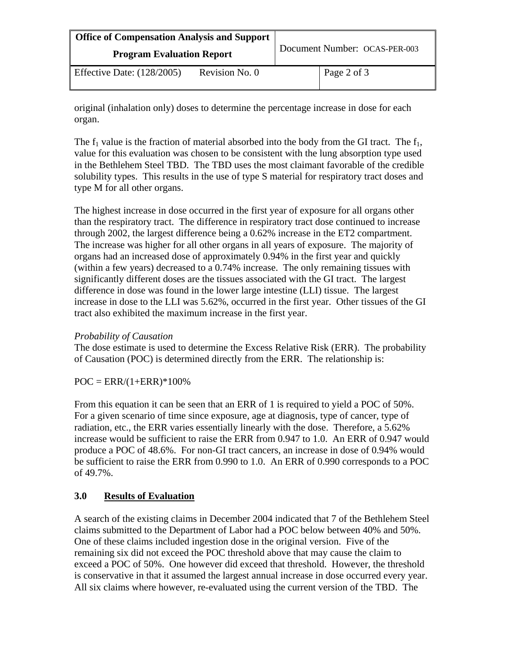| Office of Compensation Analysis and Support<br><b>Program Evaluation Report</b> |                | Document Number: OCAS-PER-003 |             |
|---------------------------------------------------------------------------------|----------------|-------------------------------|-------------|
| Effective Date: $(128/2005)$                                                    | Revision No. 0 |                               | Page 2 of 3 |

original (inhalation only) doses to determine the percentage increase in dose for each organ.

The  $f_1$  value is the fraction of material absorbed into the body from the GI tract. The  $f_1$ , value for this evaluation was chosen to be consistent with the lung absorption type used in the Bethlehem Steel TBD. The TBD uses the most claimant favorable of the credible solubility types. This results in the use of type S material for respiratory tract doses and type M for all other organs.

The highest increase in dose occurred in the first year of exposure for all organs other than the respiratory tract. The difference in respiratory tract dose continued to increase through 2002, the largest difference being a 0.62% increase in the ET2 compartment. The increase was higher for all other organs in all years of exposure. The majority of organs had an increased dose of approximately 0.94% in the first year and quickly (within a few years) decreased to a 0.74% increase. The only remaining tissues with significantly different doses are the tissues associated with the GI tract. The largest difference in dose was found in the lower large intestine (LLI) tissue. The largest increase in dose to the LLI was 5.62%, occurred in the first year. Other tissues of the GI tract also exhibited the maximum increase in the first year.

# *Probability of Causation*

The dose estimate is used to determine the Excess Relative Risk (ERR). The probability of Causation (POC) is determined directly from the ERR. The relationship is:

 $POC = ERR/(1+ERR)*100%$ 

From this equation it can be seen that an ERR of 1 is required to yield a POC of 50%. For a given scenario of time since exposure, age at diagnosis, type of cancer, type of radiation, etc., the ERR varies essentially linearly with the dose. Therefore, a 5.62% increase would be sufficient to raise the ERR from 0.947 to 1.0. An ERR of 0.947 would produce a POC of 48.6%. For non-GI tract cancers, an increase in dose of 0.94% would be sufficient to raise the ERR from 0.990 to 1.0. An ERR of 0.990 corresponds to a POC of 49.7%.

# **3.0 Results of Evaluation**

A search of the existing claims in December 2004 indicated that 7 of the Bethlehem Steel claims submitted to the Department of Labor had a POC below between 40% and 50%. One of these claims included ingestion dose in the original version. Five of the remaining six did not exceed the POC threshold above that may cause the claim to exceed a POC of 50%. One however did exceed that threshold. However, the threshold is conservative in that it assumed the largest annual increase in dose occurred every year. All six claims where however, re-evaluated using the current version of the TBD. The